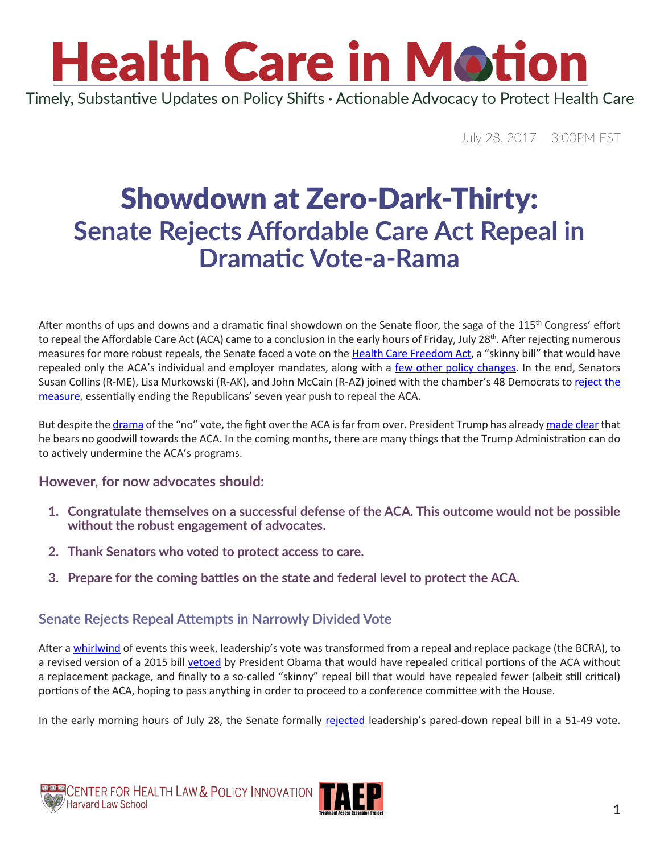## **Health Care in Motion** Timely, Substantive Updates on Policy Shifts · Actionable Advocacy to Protect Health Care

July 28, 2017 3:00PM EST

## Showdown at Zero-Dark-Thirty: **Senate Rejects Affordable Care Act Repeal in Dramatic Vote-a-Rama**

After months of ups and downs and a dramatic final showdown on the Senate floor, the saga of the 115<sup>th</sup> Congress' effort to repeal the Affordable Care Act (ACA) came to a conclusion in the early hours of Friday, July 28<sup>th</sup>. After rejecting numerous measures for more robust repeals, the Senate faced a vote on the [Health Care Freedom Act](https://www.budget.senate.gov/imo/media/doc/HealthCareFreedomAct.pdf), a "skinny bill" that would have repealed only the ACA's individual and employer mandates, along with a [few other policy changes.](https://www.vox.com/2017/7/27/16054114/health-care-freedom-act-hcfa-obamacare-repeal) In the end, Senators Susan Collins (R-ME), Lisa Murkowski (R-AK), and John McCain (R-AZ) joined with the chamber's 48 Democrats to [reject the](http://www.politico.com/story/2017/07/27/obamacare-repeal-republicans-status-241025?lo=ap_e1)  [measure](http://www.politico.com/story/2017/07/27/obamacare-repeal-republicans-status-241025?lo=ap_e1), essentially ending the Republicans' seven year push to repeal the ACA.

But despite the [drama](https://www.google.com/url?sa=t&rct=j&q=&esrc=s&source=web&cd=1&cad=rja&uact=8&ved=0ahUKEwiorojpuKzVAhWKeD4KHVo5B7UQqUMIKjAA&url=https%3A%2F%2Fwww.nytimes.com%2F2017%2F07%2F27%2Fus%2Fpolitics%2Fobamacare-partial-repeal-senate-republicans-revolt.html&usg=AFQjCNEeUjn24ECqA6ET0WoLUMYjA0pDdA) of the "no" vote, the fight over the ACA is far from over. President Trump has already [made clear](http://thehill.com/homenews/administration/344272-trump-blasts-lawmakers-for-voting-down-senate-gop-skinny-obamacare) that he bears no goodwill towards the ACA. In the coming months, there are many things that the Trump Administration can do to actively undermine the ACA's programs.

### **However, for now advocates should:**

- **1. Congratulate themselves on a successful defense of the ACA. This outcome would not be possible without the robust engagement of advocates.**
- **2. Thank Senators who voted to protect access to care.**
- **3. Prepare for the coming battles on the state and federal level to protect the ACA.**

### **Senate Rejects Repeal Attempts in Narrowly Divided Vote**

After a [whirlwind](http://healthaffairs.org/blog/2017/07/27/the-skinny-on-the-senate-aca-debate-day-three/) of events this week, leadership's vote was transformed from a repeal and replace package (the BCRA), to a revised version of a 2015 bill [vetoed](http://www.cnn.com/2016/01/08/politics/obama-vetoes-obamacare-repeal-bill/index.html) by President Obama that would have repealed critical portions of the ACA without a replacement package, and finally to a so-called "skinny" repeal bill that would have repealed fewer (albeit still critical) portions of the ACA, hoping to pass anything in order to proceed to a conference committee with the House.

In the early morning hours of July 28, the Senate formally [rejected](https://www.nytimes.com/2017/07/27/us/politics/obamacare-partial-repeal-senate-republicans-revolt.html) leadership's pared-down repeal bill in a 51-49 vote.